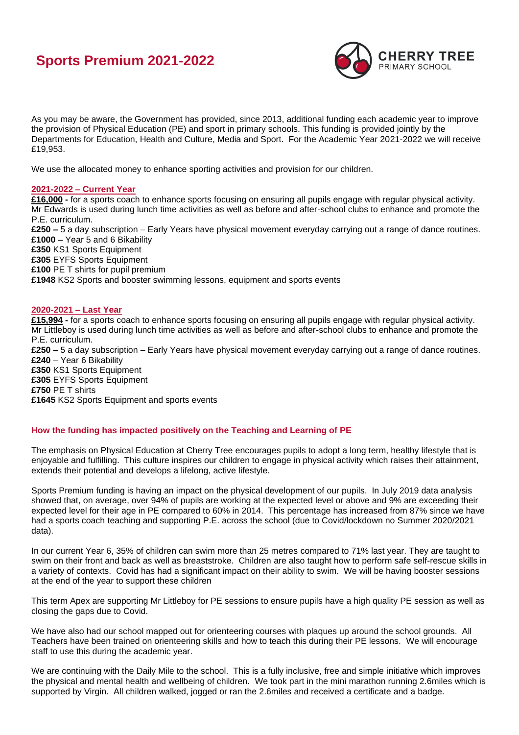# **Sports Premium 2021-2022**



As you may be aware, the Government has provided, since 2013, additional funding each academic year to improve the provision of Physical Education (PE) and sport in primary schools. This funding is provided jointly by the Departments for Education, Health and Culture, Media and Sport. For the Academic Year 2021-2022 we will receive £19,953.

We use the allocated money to enhance sporting activities and provision for our children.

## **2021-2022 – Current Year**

**£16,000 -** for a sports coach to enhance sports focusing on ensuring all pupils engage with regular physical activity. Mr Edwards is used during lunch time activities as well as before and after-school clubs to enhance and promote the P.E. curriculum.

**£250 –** 5 a day subscription – Early Years have physical movement everyday carrying out a range of dance routines. **£1000** – Year 5 and 6 Bikability

**£350** KS1 Sports Equipment

**£305** EYFS Sports Equipment **£100** PE T shirts for pupil premium

**£1948** KS2 Sports and booster swimming lessons, equipment and sports events

### **2020-2021 – Last Year**

**£15,994 -** for a sports coach to enhance sports focusing on ensuring all pupils engage with regular physical activity. Mr Littleboy is used during lunch time activities as well as before and after-school clubs to enhance and promote the P.E. curriculum. **£250 –** 5 a day subscription – Early Years have physical movement everyday carrying out a range of dance routines. **£240** – Year 6 Bikability **£350** KS1 Sports Equipment **£305** EYFS Sports Equipment **£750** PE T shirts **£1645** KS2 Sports Equipment and sports events

## **How the funding has impacted positively on the Teaching and Learning of PE**

The emphasis on Physical Education at Cherry Tree encourages pupils to adopt a long term, healthy lifestyle that is enjoyable and fulfilling. This culture inspires our children to engage in physical activity which raises their attainment, extends their potential and develops a lifelong, active lifestyle.

Sports Premium funding is having an impact on the physical development of our pupils. In July 2019 data analysis showed that, on average, over 94% of pupils are working at the expected level or above and 9% are exceeding their expected level for their age in PE compared to 60% in 2014. This percentage has increased from 87% since we have had a sports coach teaching and supporting P.E. across the school (due to Covid/lockdown no Summer 2020/2021 data).

In our current Year 6, 35% of children can swim more than 25 metres compared to 71% last year. They are taught to swim on their front and back as well as breaststroke. Children are also taught how to perform safe self-rescue skills in a variety of contexts. Covid has had a significant impact on their ability to swim. We will be having booster sessions at the end of the year to support these children

This term Apex are supporting Mr Littleboy for PE sessions to ensure pupils have a high quality PE session as well as closing the gaps due to Covid.

We have also had our school mapped out for orienteering courses with plaques up around the school grounds. All Teachers have been trained on orienteering skills and how to teach this during their PE lessons. We will encourage staff to use this during the academic year.

We are continuing with the Daily Mile to the school. This is a fully inclusive, free and simple initiative which improves the physical and mental health and wellbeing of children. We took part in the mini marathon running 2.6miles which is supported by Virgin. All children walked, jogged or ran the 2.6miles and received a certificate and a badge.